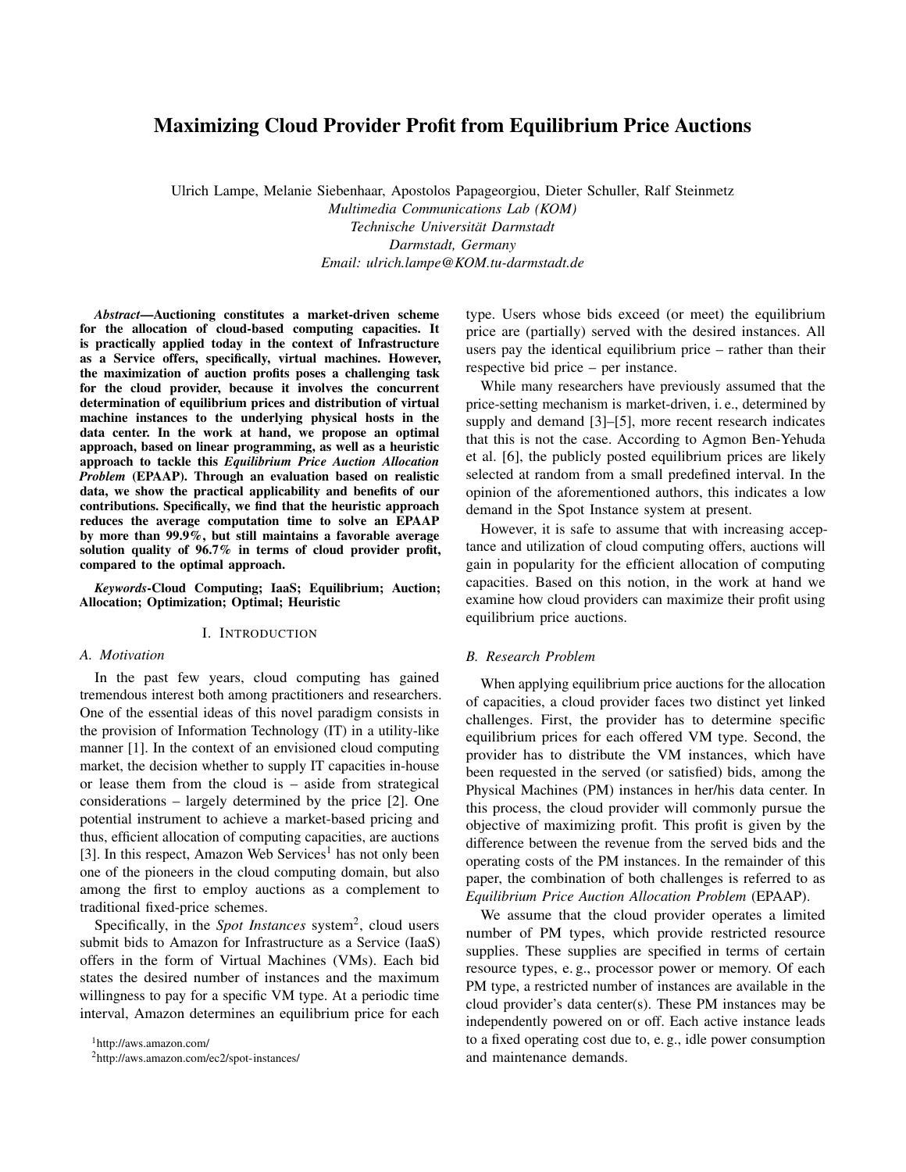# Maximizing Cloud Provider Profit from Equilibrium Price Auctions

Ulrich Lampe, Melanie Siebenhaar, Apostolos Papageorgiou, Dieter Schuller, Ralf Steinmetz

*Multimedia Communications Lab (KOM) Technische Universität Darmstadt Darmstadt, Germany*

*Email: ulrich.lampe@KOM.tu-darmstadt.de*

*Abstract*—Auctioning constitutes a market-driven scheme for the allocation of cloud-based computing capacities. It is practically applied today in the context of Infrastructure as a Service offers, specifically, virtual machines. However, the maximization of auction profits poses a challenging task for the cloud provider, because it involves the concurrent determination of equilibrium prices and distribution of virtual machine instances to the underlying physical hosts in the data center. In the work at hand, we propose an optimal approach, based on linear programming, as well as a heuristic approach to tackle this *Equilibrium Price Auction Allocation Problem* (EPAAP). Through an evaluation based on realistic data, we show the practical applicability and benefits of our contributions. Specifically, we find that the heuristic approach reduces the average computation time to solve an EPAAP by more than 99.9%, but still maintains a favorable average solution quality of 96.7% in terms of cloud provider profit, compared to the optimal approach.

*Keywords*-Cloud Computing; IaaS; Equilibrium; Auction; Allocation; Optimization; Optimal; Heuristic

## I. INTRODUCTION

## *A. Motivation*

In the past few years, cloud computing has gained tremendous interest both among practitioners and researchers. One of the essential ideas of this novel paradigm consists in the provision of Information Technology (IT) in a utility-like manner [\[1\]](#page-7-0). In the context of an envisioned cloud computing market, the decision whether to supply IT capacities in-house or lease them from the cloud is – aside from strategical considerations – largely determined by the price [\[2\]](#page-7-1). One potential instrument to achieve a market-based pricing and thus, efficient allocation of computing capacities, are auctions [\[3\]](#page-7-2). In this respect, Amazon Web Services<sup>[1](#page-0-0)</sup> has not only been one of the pioneers in the cloud computing domain, but also among the first to employ auctions as a complement to traditional fixed-price schemes.

Specifically, in the *Spot Instances* system<sup>[2](#page-0-1)</sup>, cloud users submit bids to Amazon for Infrastructure as a Service (IaaS) offers in the form of Virtual Machines (VMs). Each bid states the desired number of instances and the maximum willingness to pay for a specific VM type. At a periodic time interval, Amazon determines an equilibrium price for each type. Users whose bids exceed (or meet) the equilibrium price are (partially) served with the desired instances. All users pay the identical equilibrium price – rather than their respective bid price – per instance.

While many researchers have previously assumed that the price-setting mechanism is market-driven, i. e., determined by supply and demand [\[3\]](#page-7-2)–[\[5\]](#page-7-3), more recent research indicates that this is not the case. According to Agmon Ben-Yehuda et al. [\[6\]](#page-7-4), the publicly posted equilibrium prices are likely selected at random from a small predefined interval. In the opinion of the aforementioned authors, this indicates a low demand in the Spot Instance system at present.

However, it is safe to assume that with increasing acceptance and utilization of cloud computing offers, auctions will gain in popularity for the efficient allocation of computing capacities. Based on this notion, in the work at hand we examine how cloud providers can maximize their profit using equilibrium price auctions.

## <span id="page-0-2"></span>*B. Research Problem*

When applying equilibrium price auctions for the allocation of capacities, a cloud provider faces two distinct yet linked challenges. First, the provider has to determine specific equilibrium prices for each offered VM type. Second, the provider has to distribute the VM instances, which have been requested in the served (or satisfied) bids, among the Physical Machines (PM) instances in her/his data center. In this process, the cloud provider will commonly pursue the objective of maximizing profit. This profit is given by the difference between the revenue from the served bids and the operating costs of the PM instances. In the remainder of this paper, the combination of both challenges is referred to as *Equilibrium Price Auction Allocation Problem* (EPAAP).

We assume that the cloud provider operates a limited number of PM types, which provide restricted resource supplies. These supplies are specified in terms of certain resource types, e. g., processor power or memory. Of each PM type, a restricted number of instances are available in the cloud provider's data center(s). These PM instances may be independently powered on or off. Each active instance leads to a fixed operating cost due to, e. g., idle power consumption and maintenance demands.

<span id="page-0-0"></span><sup>1</sup><http://aws.amazon.com/>

<span id="page-0-1"></span><sup>2</sup><http://aws.amazon.com/ec2/spot-instances/>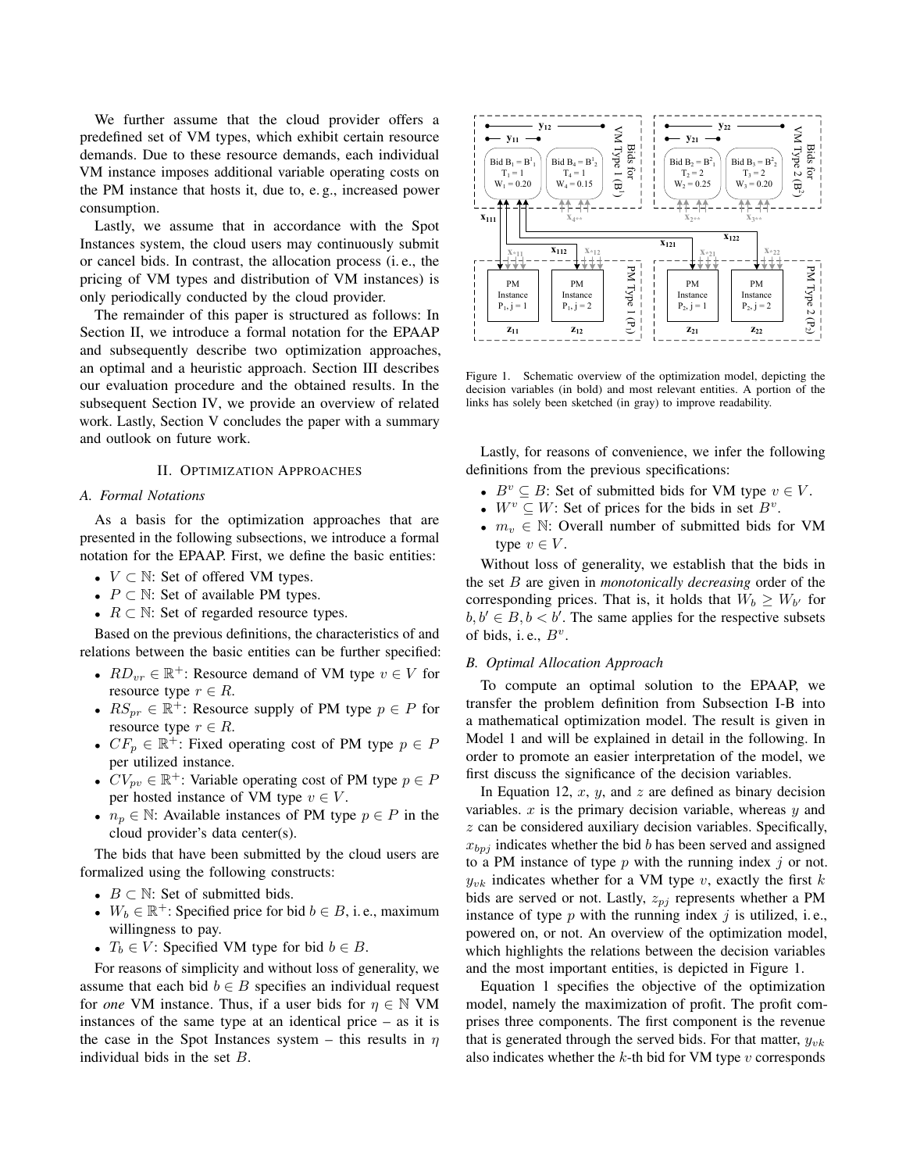We further assume that the cloud provider offers a predefined set of VM types, which exhibit certain resource demands. Due to these resource demands, each individual VM instance imposes additional variable operating costs on the PM instance that hosts it, due to, e. g., increased power consumption.

Lastly, we assume that in accordance with the Spot Instances system, the cloud users may continuously submit or cancel bids. In contrast, the allocation process (i. e., the pricing of VM types and distribution of VM instances) is only periodically conducted by the cloud provider.

The remainder of this paper is structured as follows: In Section [II,](#page-1-0) we introduce a formal notation for the EPAAP and subsequently describe two optimization approaches, an optimal and a heuristic approach. Section [III](#page-4-0) describes our evaluation procedure and the obtained results. In the subsequent Section [IV,](#page-6-0) we provide an overview of related work. Lastly, Section [V](#page-7-5) concludes the paper with a summary and outlook on future work.

## II. OPTIMIZATION APPROACHES

## <span id="page-1-0"></span>*A. Formal Notations*

As a basis for the optimization approaches that are presented in the following subsections, we introduce a formal notation for the EPAAP. First, we define the basic entities:

- $V \subset \mathbb{N}$ : Set of offered VM types.
- $P \subset \mathbb{N}$ : Set of available PM types.
- $R \subset \mathbb{N}$ : Set of regarded resource types.

Based on the previous definitions, the characteristics of and relations between the basic entities can be further specified:

- $RD_{vr} \in \mathbb{R}^+$ : Resource demand of VM type  $v \in V$  for resource type  $r \in R$ .
- $RS_{pr} \in \mathbb{R}^+$ : Resource supply of PM type  $p \in P$  for resource type  $r \in R$ .
- $CF_p \in \mathbb{R}^+$ : Fixed operating cost of PM type  $p \in P$ per utilized instance.
- $CV_{pv} \in \mathbb{R}^+$ : Variable operating cost of PM type  $p \in P$ per hosted instance of VM type  $v \in V$ .
- $n_p \in \mathbb{N}$ : Available instances of PM type  $p \in P$  in the cloud provider's data center(s).

The bids that have been submitted by the cloud users are formalized using the following constructs:

- $B \subset \mathbb{N}$ : Set of submitted bids.
- $W_b \in \mathbb{R}^+$ : Specified price for bid  $b \in B$ , i.e., maximum willingness to pay.
- $T_b \in V$ : Specified VM type for bid  $b \in B$ .

For reasons of simplicity and without loss of generality, we assume that each bid  $b \in B$  specifies an individual request for *one* VM instance. Thus, if a user bids for  $\eta \in \mathbb{N}$  VM instances of the same type at an identical price – as it is the case in the Spot Instances system – this results in  $\eta$ individual bids in the set B.



<span id="page-1-1"></span>Figure 1. Schematic overview of the optimization model, depicting the decision variables (in bold) and most relevant entities. A portion of the links has solely been sketched (in gray) to improve readability.

Lastly, for reasons of convenience, we infer the following definitions from the previous specifications:

- $B^v \subseteq B$ : Set of submitted bids for VM type  $v \in V$ .
- $W^v \subseteq W$ : Set of prices for the bids in set  $B^v$ .
- $m_v \in \mathbb{N}$ : Overall number of submitted bids for VM type  $v \in V$ .

Without loss of generality, we establish that the bids in the set B are given in *monotonically decreasing* order of the corresponding prices. That is, it holds that  $W_b \geq W_{b'}$  for  $b, b' \in B, b < b'$ . The same applies for the respective subsets of bids, i.e.,  $B^v$ .

## <span id="page-1-2"></span>*B. Optimal Allocation Approach*

To compute an optimal solution to the EPAAP, we transfer the problem definition from Subsection [I-B](#page-0-2) into a mathematical optimization model. The result is given in Model [1](#page-2-0) and will be explained in detail in the following. In order to promote an easier interpretation of the model, we first discuss the significance of the decision variables.

In Equation [12,](#page-2-1)  $x$ ,  $y$ , and  $z$  are defined as binary decision variables.  $x$  is the primary decision variable, whereas  $y$  and  $z$  can be considered auxiliary decision variables. Specifically,  $x_{bpj}$  indicates whether the bid b has been served and assigned to a PM instance of type  $p$  with the running index  $j$  or not.  $y_{vk}$  indicates whether for a VM type v, exactly the first k bids are served or not. Lastly,  $z_{pj}$  represents whether a PM instance of type  $p$  with the running index  $j$  is utilized, i.e., powered on, or not. An overview of the optimization model, which highlights the relations between the decision variables and the most important entities, is depicted in Figure [1.](#page-1-1)

Equation [1](#page-2-2) specifies the objective of the optimization model, namely the maximization of profit. The profit comprises three components. The first component is the revenue that is generated through the served bids. For that matter,  $y_{vk}$ also indicates whether the  $k$ -th bid for VM type  $v$  corresponds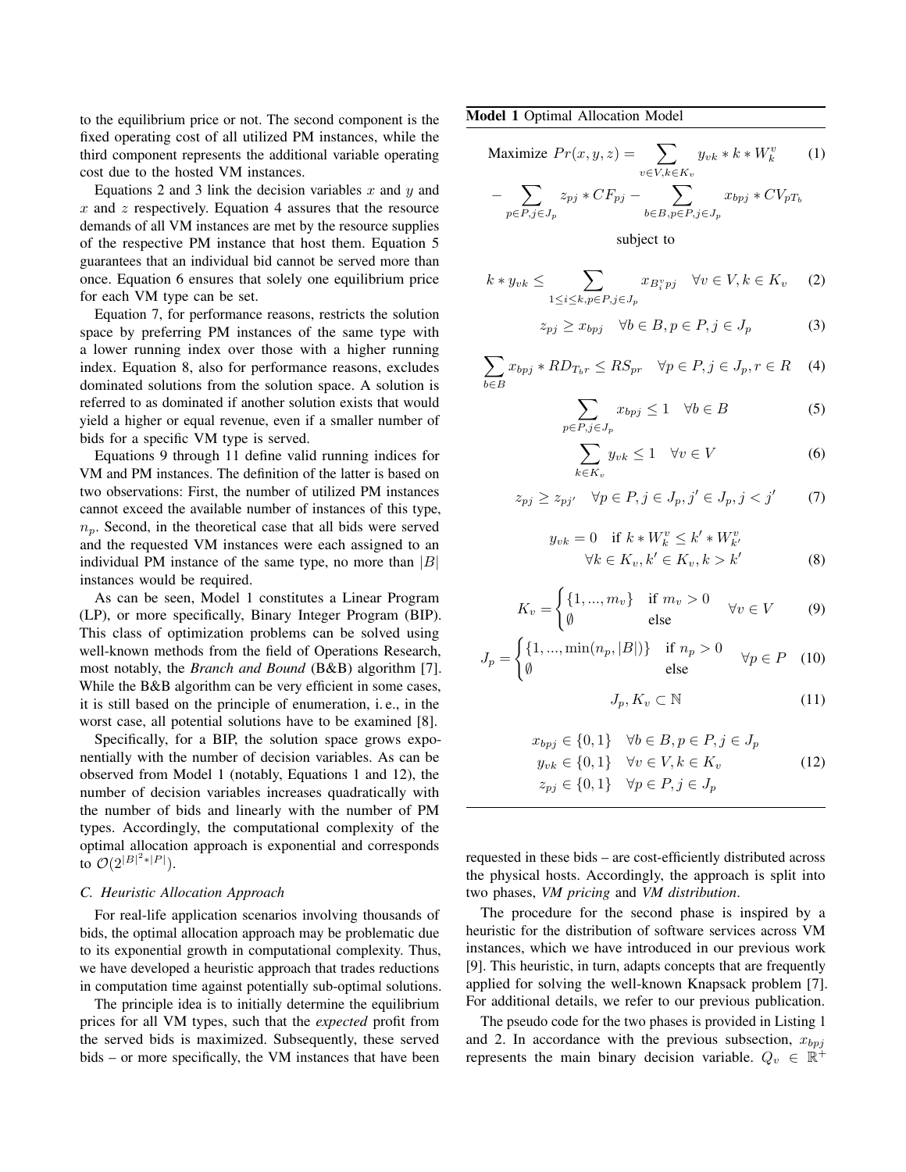to the equilibrium price or not. The second component is the fixed operating cost of all utilized PM instances, while the third component represents the additional variable operating cost due to the hosted VM instances.

Equations [2](#page-2-3) and [3](#page-2-4) link the decision variables  $x$  and  $y$  and  $x$  and  $z$  respectively. Equation [4](#page-2-5) assures that the resource demands of all VM instances are met by the resource supplies of the respective PM instance that host them. Equation [5](#page-2-6) guarantees that an individual bid cannot be served more than once. Equation [6](#page-2-7) ensures that solely one equilibrium price for each VM type can be set.

Equation [7,](#page-2-8) for performance reasons, restricts the solution space by preferring PM instances of the same type with a lower running index over those with a higher running index. Equation [8,](#page-2-9) also for performance reasons, excludes dominated solutions from the solution space. A solution is referred to as dominated if another solution exists that would yield a higher or equal revenue, even if a smaller number of bids for a specific VM type is served.

Equations [9](#page-2-10) through [11](#page-2-11) define valid running indices for VM and PM instances. The definition of the latter is based on two observations: First, the number of utilized PM instances cannot exceed the available number of instances of this type,  $n_p$ . Second, in the theoretical case that all bids were served and the requested VM instances were each assigned to an individual PM instance of the same type, no more than  $|B|$ instances would be required.

As can be seen, Model [1](#page-2-0) constitutes a Linear Program (LP), or more specifically, Binary Integer Program (BIP). This class of optimization problems can be solved using well-known methods from the field of Operations Research, most notably, the *Branch and Bound* (B&B) algorithm [\[7\]](#page-7-6). While the B&B algorithm can be very efficient in some cases, it is still based on the principle of enumeration, i. e., in the worst case, all potential solutions have to be examined [\[8\]](#page-7-7).

Specifically, for a BIP, the solution space grows exponentially with the number of decision variables. As can be observed from Model [1](#page-2-0) (notably, Equations [1](#page-2-2) and [12\)](#page-2-1), the number of decision variables increases quadratically with the number of bids and linearly with the number of PM types. Accordingly, the computational complexity of the optimal allocation approach is exponential and corresponds to  $O(2^{|B|^2 * |P|}).$ 

## <span id="page-2-12"></span>*C. Heuristic Allocation Approach*

For real-life application scenarios involving thousands of bids, the optimal allocation approach may be problematic due to its exponential growth in computational complexity. Thus, we have developed a heuristic approach that trades reductions in computation time against potentially sub-optimal solutions.

The principle idea is to initially determine the equilibrium prices for all VM types, such that the *expected* profit from the served bids is maximized. Subsequently, these served bids – or more specifically, the VM instances that have been <span id="page-2-0"></span>Model 1 Optimal Allocation Model

$$
\text{Maximize } Pr(x, y, z) = \sum_{v \in V, k \in K_v} y_{vk} * k * W_k^v \qquad (1)
$$

$$
- \sum_{p \in P, j \in J_p} z_{pj} * CF_{pj} - \sum_{b \in B, p \in P, j \in J_p} x_{bpj} * CV_{pT_b}
$$

<span id="page-2-5"></span><span id="page-2-4"></span><span id="page-2-3"></span><span id="page-2-2"></span>subject to

$$
k * y_{vk} \leq \sum_{1 \leq i \leq k, p \in P, j \in J_p} x_{B_i^v p j} \quad \forall v \in V, k \in K_v \quad (2)
$$

$$
z_{pj} \ge x_{bpj} \quad \forall b \in B, p \in P, j \in J_p \tag{3}
$$

$$
\sum_{b \in B} x_{bpj} * RD_{T_b r} \le RS_{pr} \quad \forall p \in P, j \in J_p, r \in R \quad (4)
$$

$$
\sum_{p \in P, j \in J_p} x_{bpj} \le 1 \quad \forall b \in B \tag{5}
$$

<span id="page-2-8"></span><span id="page-2-7"></span><span id="page-2-6"></span>
$$
\sum_{k \in K_v} y_{vk} \le 1 \quad \forall v \in V \tag{6}
$$

$$
z_{pj} \ge z_{pj'} \quad \forall p \in P, j \in J_p, j' \in J_p, j < j' \tag{7}
$$

$$
y_{vk} = 0 \quad \text{if } k \ast W_k^v \le k' \ast W_{k'}^v
$$

$$
\forall k \in K_v, k' \in K_v, k > k'
$$
(8)

$$
K_v = \begin{cases} \{1, ..., m_v\} & \text{if } m_v > 0\\ \emptyset & \text{else} \end{cases} \quad \forall v \in V \tag{9}
$$

$$
J_p = \begin{cases} \{1, ..., \min(n_p, |B|)\} & \text{if } n_p > 0\\ \emptyset & \text{else} \end{cases} \quad \forall p \in P \quad (10)
$$

<span id="page-2-11"></span><span id="page-2-10"></span><span id="page-2-9"></span><span id="page-2-1"></span>
$$
J_p, K_v \subset \mathbb{N} \tag{11}
$$

$$
x_{bpj} \in \{0, 1\} \quad \forall b \in B, p \in P, j \in J_p
$$

$$
y_{vk} \in \{0, 1\} \quad \forall v \in V, k \in K_v
$$

$$
z_{pj} \in \{0, 1\} \quad \forall p \in P, j \in J_p
$$

$$
(12)
$$

requested in these bids – are cost-efficiently distributed across the physical hosts. Accordingly, the approach is split into two phases, *VM pricing* and *VM distribution*.

The procedure for the second phase is inspired by a heuristic for the distribution of software services across VM instances, which we have introduced in our previous work [\[9\]](#page-7-8). This heuristic, in turn, adapts concepts that are frequently applied for solving the well-known Knapsack problem [\[7\]](#page-7-6). For additional details, we refer to our previous publication.

The pseudo code for the two phases is provided in Listing [1](#page-2-0) and [2.](#page-3-0) In accordance with the previous subsection,  $x_{bpj}$ represents the main binary decision variable.  $Q_v \in \mathbb{R}^+$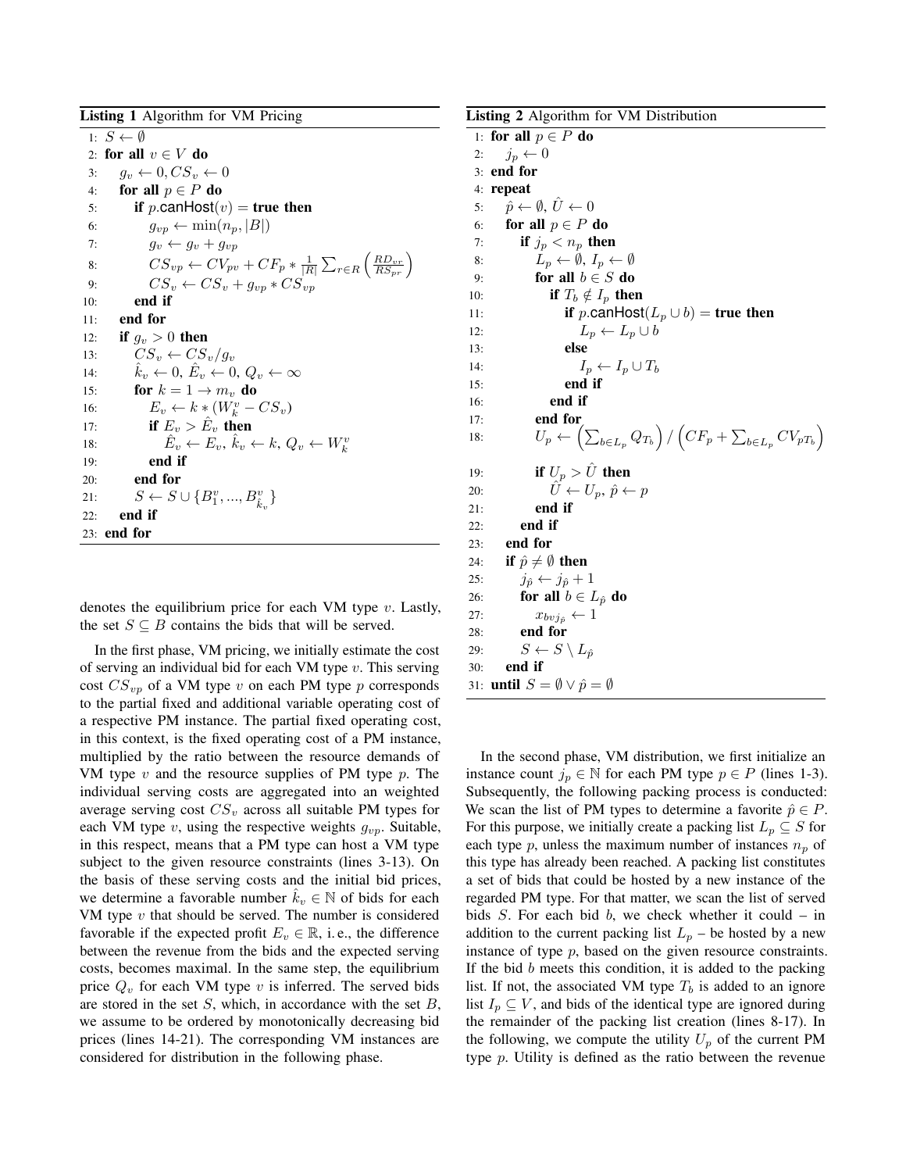<span id="page-3-3"></span><span id="page-3-2"></span><span id="page-3-1"></span>Listing 1 Algorithm for VM Pricing 1:  $S \leftarrow \emptyset$ 2: for all  $v \in V$  do 3:  $q_v \leftarrow 0, CS_v \leftarrow 0$ 4: for all  $p \in P$  do 5: if p.canHost $(v)$  = true then 6:  $q_{vp} \leftarrow \min(n_p, |B|)$ 7:  $g_v \leftarrow g_v + g_{vp}$ 8:  $CS_{vp} \leftarrow CV_{pv} + CF_p * \frac{1}{|R|} \sum_{r \in R} \left(\frac{RD_{vr}}{RS_{pr}}\right)$ 9:  $CS_v \leftarrow CS_v + g_{vv} * CS_{vv}$ 10: end if 11: end for 12: if  $g_v > 0$  then 13:  $CS_v \leftarrow CS_v/g_v$ 14:  $\hat{k}_v \leftarrow 0, \hat{E}_v \leftarrow 0, Q_v \leftarrow \infty$ 15: for  $k = 1 \rightarrow m_v$  do 16:  $E_v \leftarrow k * (W_k^v - CS_v)$ 17: if  $E_v > \hat{E}_v$  then 18:  $\hat{E}_v \leftarrow E_v, \hat{k}_v \leftarrow k, Q_v \leftarrow W_k^v$ 19: end if 20: end for 21:  $S \leftarrow S \cup \{B_1^v, ..., B_{\hat{k}_v}^v\}$ 22: end if 23: end for

<span id="page-3-4"></span>denotes the equilibrium price for each VM type  $v$ . Lastly, the set  $S \subseteq B$  contains the bids that will be served.

In the first phase, VM pricing, we initially estimate the cost of serving an individual bid for each VM type  $v$ . This serving cost  $CS_{vp}$  of a VM type v on each PM type p corresponds to the partial fixed and additional variable operating cost of a respective PM instance. The partial fixed operating cost, in this context, is the fixed operating cost of a PM instance, multiplied by the ratio between the resource demands of VM type  $v$  and the resource supplies of PM type  $p$ . The individual serving costs are aggregated into an weighted average serving cost  $CS_v$  across all suitable PM types for each VM type  $v$ , using the respective weights  $g_{vp}$ . Suitable, in this respect, means that a PM type can host a VM type subject to the given resource constraints (lines [3](#page-3-1)[-13\)](#page-3-2). On the basis of these serving costs and the initial bid prices, we determine a favorable number  $k_v \in \mathbb{N}$  of bids for each VM type  $v$  that should be served. The number is considered favorable if the expected profit  $E_v \in \mathbb{R}$ , i.e., the difference between the revenue from the bids and the expected serving costs, becomes maximal. In the same step, the equilibrium price  $Q_v$  for each VM type v is inferred. The served bids are stored in the set  $S$ , which, in accordance with the set  $B$ , we assume to be ordered by monotonically decreasing bid prices (lines [14-](#page-3-3)[21\)](#page-3-4). The corresponding VM instances are considered for distribution in the following phase.

```
Listing 2 Algorithm for VM Distribution
 1: for all p \in P do
 2: j_p \leftarrow 03: end for
 4: repeat
 5: \hat{p} \leftarrow \emptyset, U \leftarrow 06: for all p \in P do
 7: if j_p < n_p then
 8: \bar{L}_p \leftarrow \emptyset, I_p \leftarrow \emptyset9: for all b \in S do
10: if T_b \notin I_p then
11: if p.canHost(L_p \cup b) = true then
12: L_p \leftarrow L_p \cup b13: else
14: I_p \leftarrow I_p \cup T_b15: end if
16: end if
17: end for
18: U_p \leftarrow \left( \sum_{b \in L_p} Q_{T_b} \right) / \left( C F_p + \sum_{b \in L_p} C V_{pT_b} \right)19: if U_p > \hat{U} then
20: \hat{U} \leftarrow U_p, \ \hat{p} \leftarrow p21: end if
22: end if
23: end for
24: if \hat{p} \neq \emptyset then
25: j_{\hat{p}} \leftarrow j_{\hat{p}} + 126: for all b \in L_{\hat{p}} do
27: x_{bvj_{\hat{p}}} \leftarrow 128: end for
29: S \leftarrow S \setminus L_{\hat{p}}30: end if
31: until S = \emptyset \vee \hat{p} = \emptyset
```
<span id="page-3-12"></span><span id="page-3-11"></span><span id="page-3-10"></span><span id="page-3-9"></span>In the second phase, VM distribution, we first initialize an instance count  $j_p \in \mathbb{N}$  for each PM type  $p \in P$  (lines [1](#page-3-0)[-3\)](#page-3-5). Subsequently, the following packing process is conducted: We scan the list of PM types to determine a favorite  $\hat{p} \in P$ . For this purpose, we initially create a packing list  $L_p \subseteq S$  for each type p, unless the maximum number of instances  $n_p$  of this type has already been reached. A packing list constitutes a set of bids that could be hosted by a new instance of the regarded PM type. For that matter, we scan the list of served bids  $S$ . For each bid  $b$ , we check whether it could – in addition to the current packing list  $L_p$  – be hosted by a new instance of type  $p$ , based on the given resource constraints. If the bid  $b$  meets this condition, it is added to the packing list. If not, the associated VM type  $T_b$  is added to an ignore list  $I_p \subseteq V$ , and bids of the identical type are ignored during the remainder of the packing list creation (lines [8](#page-3-6)[-17\)](#page-3-7). In the following, we compute the utility  $U_p$  of the current PM type p. Utility is defined as the ratio between the revenue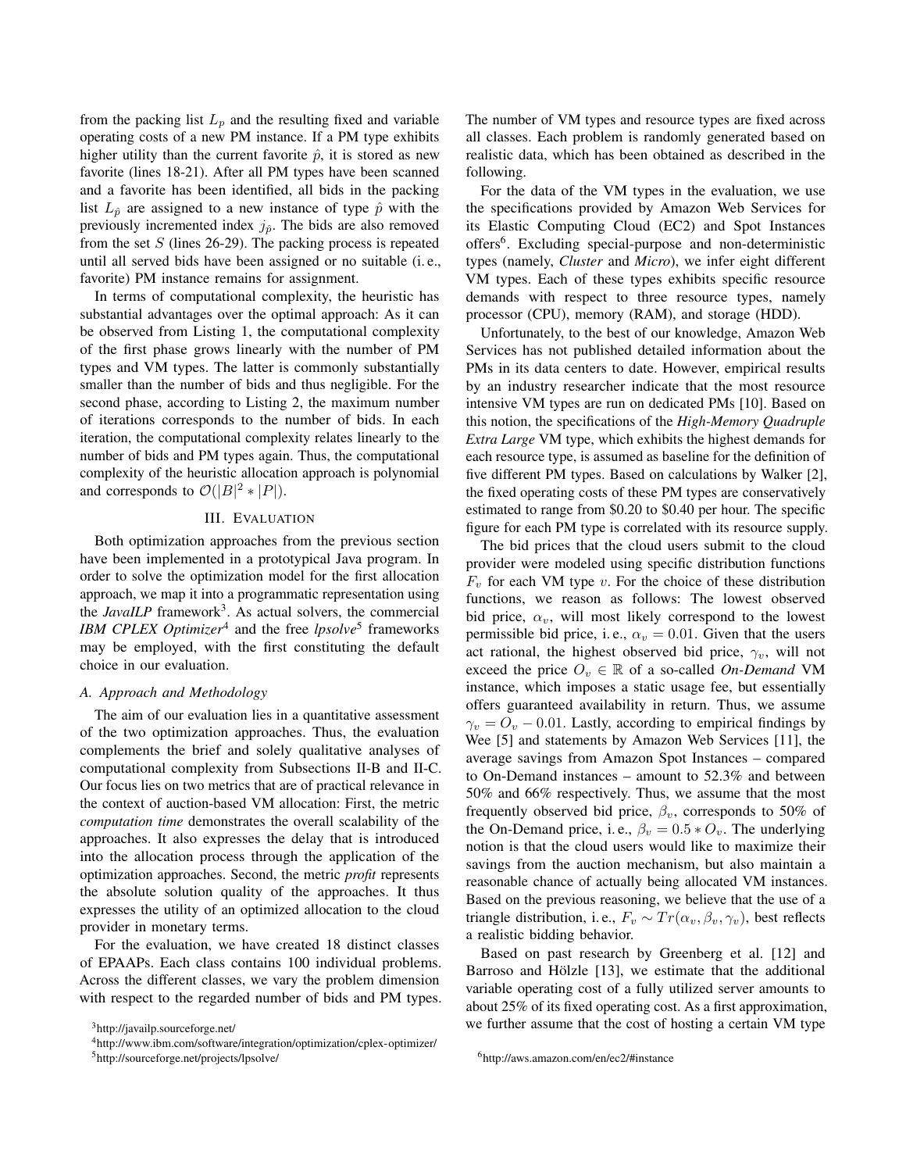from the packing list  $L_p$  and the resulting fixed and variable operating costs of a new PM instance. If a PM type exhibits higher utility than the current favorite  $\hat{p}$ , it is stored as new favorite (lines [18](#page-3-8)[-21\)](#page-3-9). After all PM types have been scanned and a favorite has been identified, all bids in the packing list  $L_{\hat{p}}$  are assigned to a new instance of type  $\hat{p}$  with the previously incremented index  $j_{\hat{p}}$ . The bids are also removed from the set  $S$  (lines [26-](#page-3-10)[29\)](#page-3-11). The packing process is repeated until all served bids have been assigned or no suitable (i. e., favorite) PM instance remains for assignment.

In terms of computational complexity, the heuristic has substantial advantages over the optimal approach: As it can be observed from Listing [1,](#page-2-0) the computational complexity of the first phase grows linearly with the number of PM types and VM types. The latter is commonly substantially smaller than the number of bids and thus negligible. For the second phase, according to Listing [2,](#page-3-0) the maximum number of iterations corresponds to the number of bids. In each iteration, the computational complexity relates linearly to the number of bids and PM types again. Thus, the computational complexity of the heuristic allocation approach is polynomial and corresponds to  $\mathcal{O}(|B|^2 * |P|)$ .

## III. EVALUATION

<span id="page-4-0"></span>Both optimization approaches from the previous section have been implemented in a prototypical Java program. In order to solve the optimization model for the first allocation approach, we map it into a programmatic representation using the *JavaILP* framework<sup>[3](#page-4-1)</sup>. As actual solvers, the commercial *IBM CPLEX Optimizer*<sup>[4](#page-4-2)</sup> and the free *lpsolve*<sup>[5](#page-4-3)</sup> frameworks may be employed, with the first constituting the default choice in our evaluation.

## *A. Approach and Methodology*

The aim of our evaluation lies in a quantitative assessment of the two optimization approaches. Thus, the evaluation complements the brief and solely qualitative analyses of computational complexity from Subsections [II-B](#page-1-2) and [II-C.](#page-2-12) Our focus lies on two metrics that are of practical relevance in the context of auction-based VM allocation: First, the metric *computation time* demonstrates the overall scalability of the approaches. It also expresses the delay that is introduced into the allocation process through the application of the optimization approaches. Second, the metric *profit* represents the absolute solution quality of the approaches. It thus expresses the utility of an optimized allocation to the cloud provider in monetary terms.

For the evaluation, we have created 18 distinct classes of EPAAPs. Each class contains 100 individual problems. Across the different classes, we vary the problem dimension with respect to the regarded number of bids and PM types. The number of VM types and resource types are fixed across all classes. Each problem is randomly generated based on realistic data, which has been obtained as described in the following.

For the data of the VM types in the evaluation, we use the specifications provided by Amazon Web Services for its Elastic Computing Cloud (EC2) and Spot Instances offers<sup>[6](#page-4-4)</sup>. Excluding special-purpose and non-deterministic types (namely, *Cluster* and *Micro*), we infer eight different VM types. Each of these types exhibits specific resource demands with respect to three resource types, namely processor (CPU), memory (RAM), and storage (HDD).

Unfortunately, to the best of our knowledge, Amazon Web Services has not published detailed information about the PMs in its data centers to date. However, empirical results by an industry researcher indicate that the most resource intensive VM types are run on dedicated PMs [\[10\]](#page-7-9). Based on this notion, the specifications of the *High-Memory Quadruple Extra Large* VM type, which exhibits the highest demands for each resource type, is assumed as baseline for the definition of five different PM types. Based on calculations by Walker [\[2\]](#page-7-1), the fixed operating costs of these PM types are conservatively estimated to range from \$0.20 to \$0.40 per hour. The specific figure for each PM type is correlated with its resource supply.

The bid prices that the cloud users submit to the cloud provider were modeled using specific distribution functions  $F_v$  for each VM type v. For the choice of these distribution functions, we reason as follows: The lowest observed bid price,  $\alpha_v$ , will most likely correspond to the lowest permissible bid price, i.e.,  $\alpha_v = 0.01$ . Given that the users act rational, the highest observed bid price,  $\gamma_v$ , will not exceed the price  $O_v \in \mathbb{R}$  of a so-called *On-Demand* VM instance, which imposes a static usage fee, but essentially offers guaranteed availability in return. Thus, we assume  $\gamma_v = O_v - 0.01$ . Lastly, according to empirical findings by Wee [\[5\]](#page-7-3) and statements by Amazon Web Services [\[11\]](#page-7-10), the average savings from Amazon Spot Instances – compared to On-Demand instances – amount to 52.3% and between 50% and 66% respectively. Thus, we assume that the most frequently observed bid price,  $\beta_v$ , corresponds to 50% of the On-Demand price, i.e.,  $\beta_v = 0.5 * O_v$ . The underlying notion is that the cloud users would like to maximize their savings from the auction mechanism, but also maintain a reasonable chance of actually being allocated VM instances. Based on the previous reasoning, we believe that the use of a triangle distribution, i.e.,  $F_v \sim Tr(\alpha_v, \beta_v, \gamma_v)$ , best reflects a realistic bidding behavior.

Based on past research by Greenberg et al. [\[12\]](#page-7-11) and Barroso and Hölzle [\[13\]](#page-7-12), we estimate that the additional variable operating cost of a fully utilized server amounts to about 25% of its fixed operating cost. As a first approximation, we further assume that the cost of hosting a certain VM type

<span id="page-4-1"></span><sup>3</sup><http://javailp.sourceforge.net/>

<span id="page-4-2"></span><sup>4</sup><http://www.ibm.com/software/integration/optimization/cplex-optimizer/>

<span id="page-4-3"></span><sup>5</sup><http://sourceforge.net/projects/lpsolve/>

<span id="page-4-4"></span><sup>6</sup><http://aws.amazon.com/en/ec2/#instance>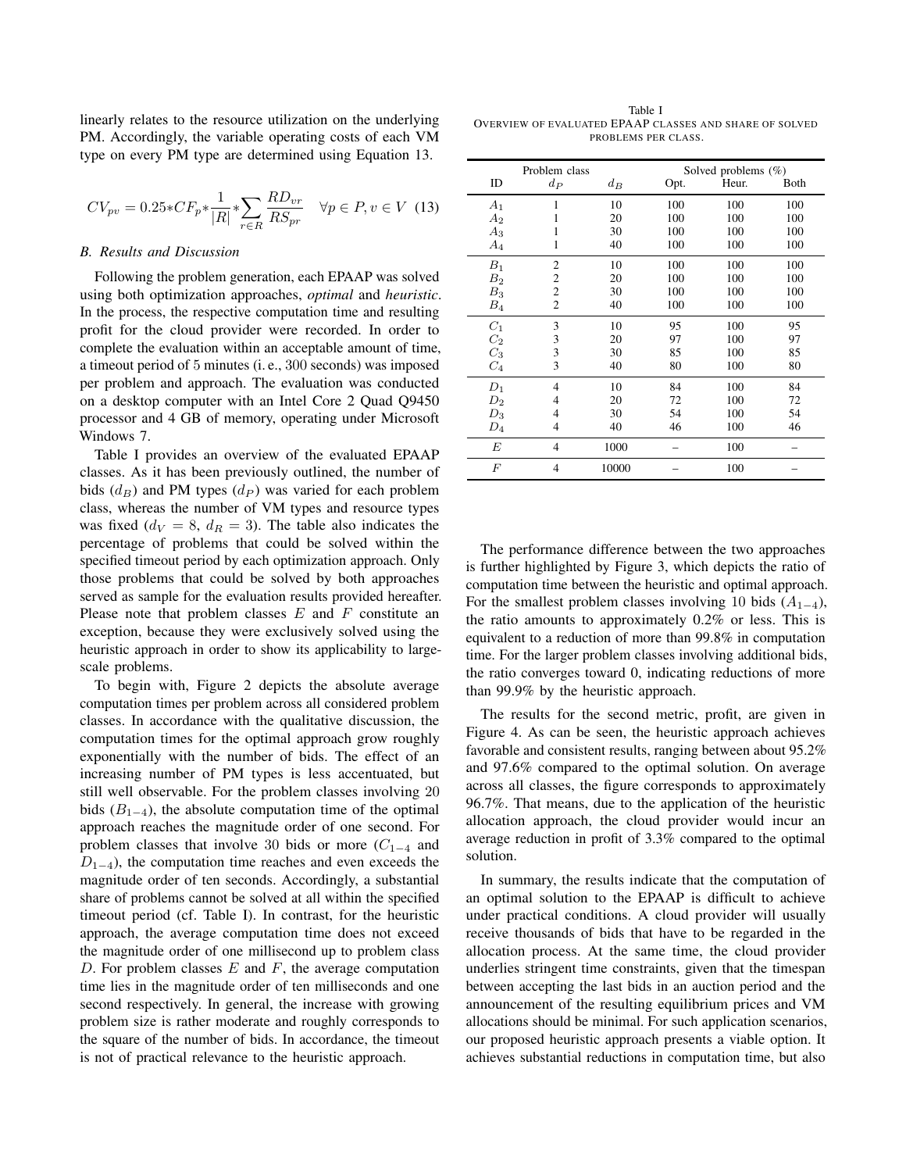linearly relates to the resource utilization on the underlying PM. Accordingly, the variable operating costs of each VM type on every PM type are determined using Equation [13.](#page-5-0)

<span id="page-5-0"></span>
$$
CV_{pv} = 0.25 \cdot CF_p \cdot \frac{1}{|R|} \cdot \sum_{r \in R} \frac{RD_{vr}}{RS_{pr}} \quad \forall p \in P, v \in V \tag{13}
$$

## *B. Results and Discussion*

Following the problem generation, each EPAAP was solved using both optimization approaches, *optimal* and *heuristic*. In the process, the respective computation time and resulting profit for the cloud provider were recorded. In order to complete the evaluation within an acceptable amount of time, a timeout period of 5 minutes (i. e., 300 seconds) was imposed per problem and approach. The evaluation was conducted on a desktop computer with an Intel Core 2 Quad Q9450 processor and 4 GB of memory, operating under Microsoft Windows 7.

Table [I](#page-5-1) provides an overview of the evaluated EPAAP classes. As it has been previously outlined, the number of bids  $(d_B)$  and PM types  $(d_P)$  was varied for each problem class, whereas the number of VM types and resource types was fixed ( $d_V = 8$ ,  $d_R = 3$ ). The table also indicates the percentage of problems that could be solved within the specified timeout period by each optimization approach. Only those problems that could be solved by both approaches served as sample for the evaluation results provided hereafter. Please note that problem classes  $E$  and  $F$  constitute an exception, because they were exclusively solved using the heuristic approach in order to show its applicability to largescale problems.

To begin with, Figure [2](#page-6-1) depicts the absolute average computation times per problem across all considered problem classes. In accordance with the qualitative discussion, the computation times for the optimal approach grow roughly exponentially with the number of bids. The effect of an increasing number of PM types is less accentuated, but still well observable. For the problem classes involving 20 bids  $(B_{1-4})$ , the absolute computation time of the optimal approach reaches the magnitude order of one second. For problem classes that involve 30 bids or more  $(C_{1-4}$  and  $D_{1-4}$ ), the computation time reaches and even exceeds the magnitude order of ten seconds. Accordingly, a substantial share of problems cannot be solved at all within the specified timeout period (cf. Table [I\)](#page-5-1). In contrast, for the heuristic approach, the average computation time does not exceed the magnitude order of one millisecond up to problem class D. For problem classes  $E$  and  $F$ , the average computation time lies in the magnitude order of ten milliseconds and one second respectively. In general, the increase with growing problem size is rather moderate and roughly corresponds to the square of the number of bids. In accordance, the timeout is not of practical relevance to the heuristic approach.

<span id="page-5-1"></span>Table I OVERVIEW OF EVALUATED EPAAP CLASSES AND SHARE OF SOLVED PROBLEMS PER CLASS.

| Problem class  |                |       | Solved problems (%) |       |      |
|----------------|----------------|-------|---------------------|-------|------|
| ID             | $d_{P}$        | $d_B$ | Opt.                | Heur. | Both |
| $A_1$          | 1              | 10    | 100                 | 100   | 100  |
| A <sub>2</sub> | 1              | 20    | 100                 | 100   | 100  |
| $A_3$          | 1              | 30    | 100                 | 100   | 100  |
| $A_4$          | 1              | 40    | 100                 | 100   | 100  |
| $B_1$          | $\overline{2}$ | 10    | 100                 | 100   | 100  |
| B <sub>2</sub> | 2              | 20    | 100                 | 100   | 100  |
| $B_3$          | $\overline{c}$ | 30    | 100                 | 100   | 100  |
| $B_4$          | $\overline{c}$ | 40    | 100                 | 100   | 100  |
| $C_1$          | 3              | 10    | 95                  | 100   | 95   |
| C <sub>2</sub> | 3              | 20    | 97                  | 100   | 97   |
| $C_3$          | 3              | 30    | 85                  | 100   | 85   |
| $C_4$          | 3              | 40    | 80                  | 100   | 80   |
| $D_1$          | 4              | 10    | 84                  | 100   | 84   |
| $D_2$          | 4              | 20    | 72                  | 100   | 72   |
| $D_3$          | 4              | 30    | 54                  | 100   | 54   |
| $D_4$          | 4              | 40    | 46                  | 100   | 46   |
| E              | 4              | 1000  |                     | 100   |      |
| $\overline{F}$ | 4              | 10000 |                     | 100   |      |

The performance difference between the two approaches is further highlighted by Figure [3,](#page-6-2) which depicts the ratio of computation time between the heuristic and optimal approach. For the smallest problem classes involving 10 bids  $(A_{1-4})$ , the ratio amounts to approximately 0.2% or less. This is equivalent to a reduction of more than 99.8% in computation time. For the larger problem classes involving additional bids, the ratio converges toward 0, indicating reductions of more than 99.9% by the heuristic approach.

The results for the second metric, profit, are given in Figure [4.](#page-6-3) As can be seen, the heuristic approach achieves favorable and consistent results, ranging between about 95.2% and 97.6% compared to the optimal solution. On average across all classes, the figure corresponds to approximately 96.7%. That means, due to the application of the heuristic allocation approach, the cloud provider would incur an average reduction in profit of 3.3% compared to the optimal solution.

In summary, the results indicate that the computation of an optimal solution to the EPAAP is difficult to achieve under practical conditions. A cloud provider will usually receive thousands of bids that have to be regarded in the allocation process. At the same time, the cloud provider underlies stringent time constraints, given that the timespan between accepting the last bids in an auction period and the announcement of the resulting equilibrium prices and VM allocations should be minimal. For such application scenarios, our proposed heuristic approach presents a viable option. It achieves substantial reductions in computation time, but also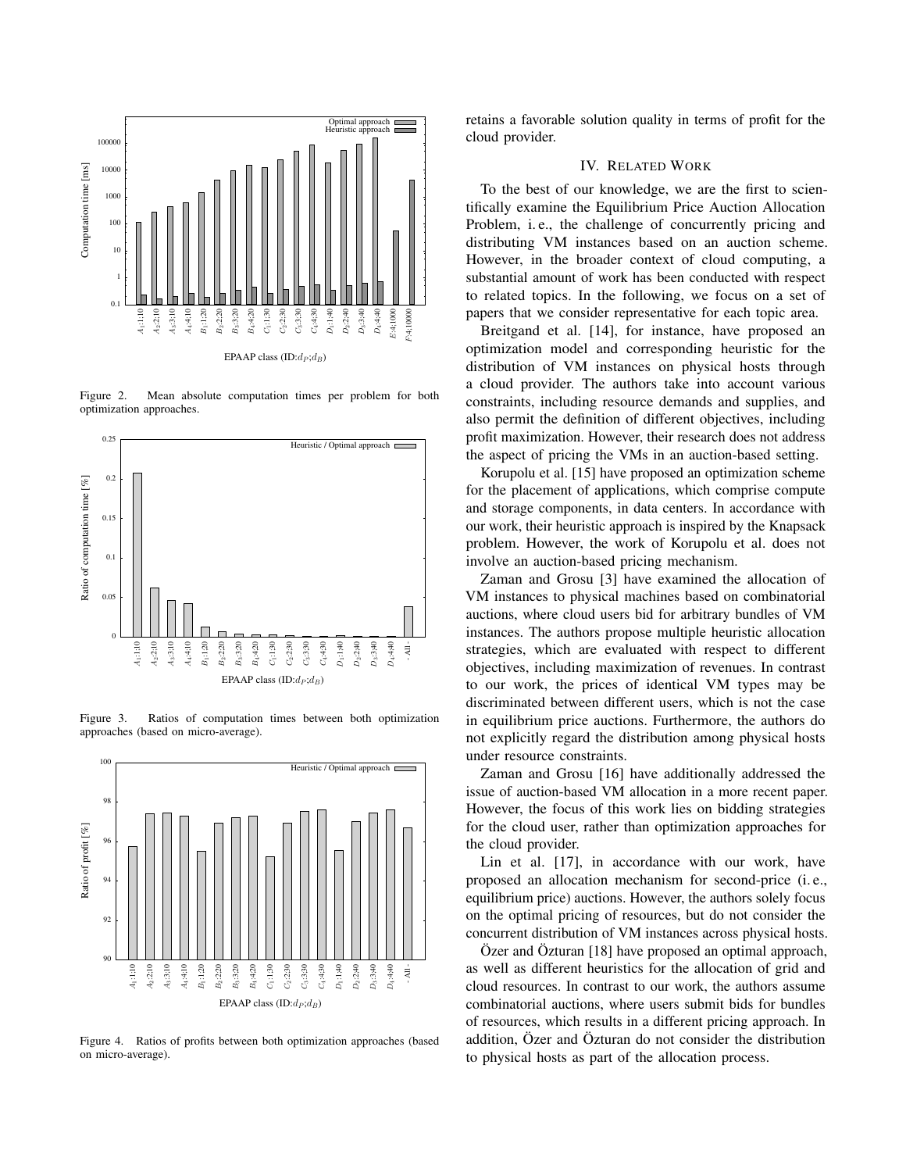

<span id="page-6-1"></span>Figure 2. Mean absolute computation times per problem for both optimization approaches.



<span id="page-6-2"></span>Figure 3. Ratios of computation times between both optimization approaches (based on micro-average).



<span id="page-6-3"></span>Figure 4. Ratios of profits between both optimization approaches (based on micro-average).

retains a favorable solution quality in terms of profit for the cloud provider.

#### IV. RELATED WORK

<span id="page-6-0"></span>To the best of our knowledge, we are the first to scientifically examine the Equilibrium Price Auction Allocation Problem, i. e., the challenge of concurrently pricing and distributing VM instances based on an auction scheme. However, in the broader context of cloud computing, a substantial amount of work has been conducted with respect to related topics. In the following, we focus on a set of papers that we consider representative for each topic area.

Breitgand et al. [\[14\]](#page-7-13), for instance, have proposed an optimization model and corresponding heuristic for the distribution of VM instances on physical hosts through a cloud provider. The authors take into account various constraints, including resource demands and supplies, and also permit the definition of different objectives, including profit maximization. However, their research does not address the aspect of pricing the VMs in an auction-based setting.

Korupolu et al. [\[15\]](#page-7-14) have proposed an optimization scheme for the placement of applications, which comprise compute and storage components, in data centers. In accordance with our work, their heuristic approach is inspired by the Knapsack problem. However, the work of Korupolu et al. does not involve an auction-based pricing mechanism.

Zaman and Grosu [\[3\]](#page-7-2) have examined the allocation of VM instances to physical machines based on combinatorial auctions, where cloud users bid for arbitrary bundles of VM instances. The authors propose multiple heuristic allocation strategies, which are evaluated with respect to different objectives, including maximization of revenues. In contrast to our work, the prices of identical VM types may be discriminated between different users, which is not the case in equilibrium price auctions. Furthermore, the authors do not explicitly regard the distribution among physical hosts under resource constraints.

Zaman and Grosu [\[16\]](#page-7-15) have additionally addressed the issue of auction-based VM allocation in a more recent paper. However, the focus of this work lies on bidding strategies for the cloud user, rather than optimization approaches for the cloud provider.

Lin et al. [\[17\]](#page-7-16), in accordance with our work, have proposed an allocation mechanism for second-price (i. e., equilibrium price) auctions. However, the authors solely focus on the optimal pricing of resources, but do not consider the concurrent distribution of VM instances across physical hosts.

Özer and Özturan [\[18\]](#page-7-17) have proposed an optimal approach, as well as different heuristics for the allocation of grid and cloud resources. In contrast to our work, the authors assume combinatorial auctions, where users submit bids for bundles of resources, which results in a different pricing approach. In addition, Özer and Özturan do not consider the distribution to physical hosts as part of the allocation process.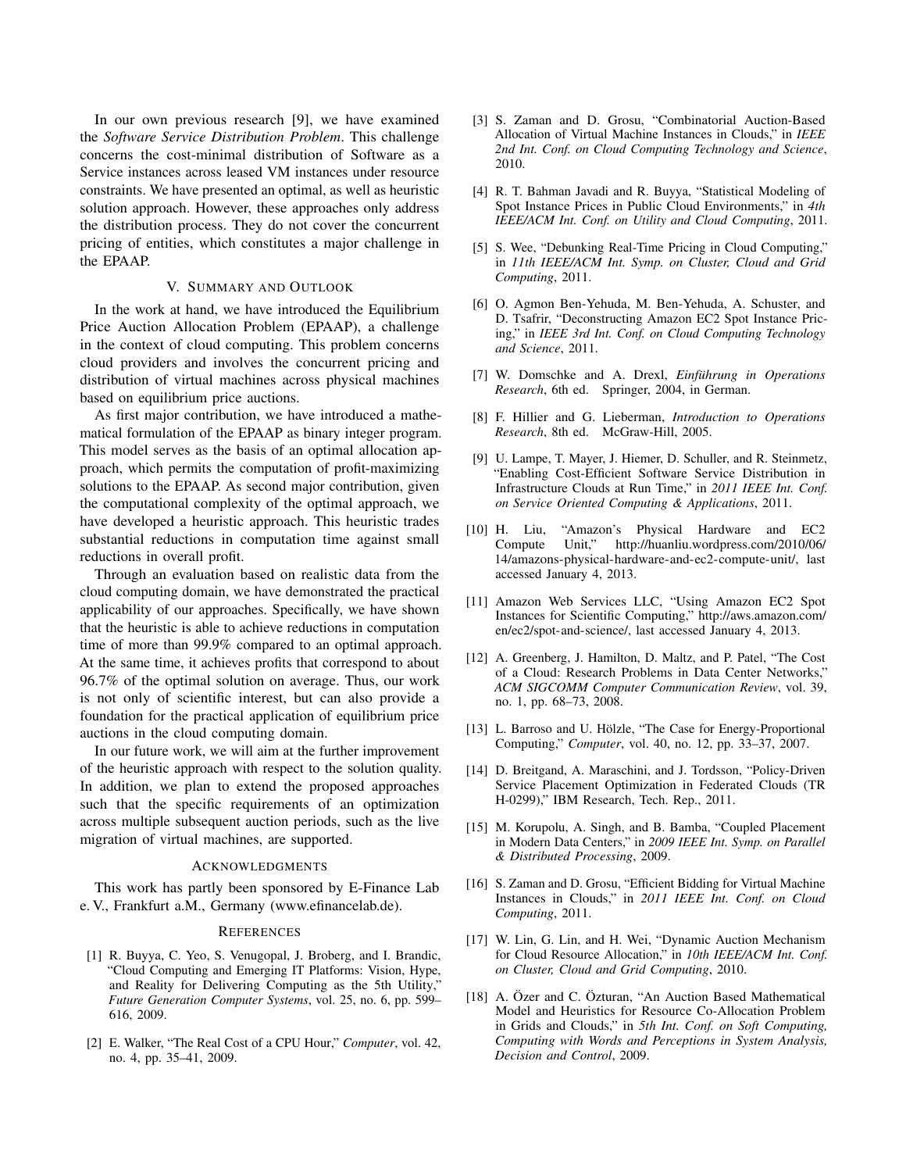In our own previous research [\[9\]](#page-7-8), we have examined the *Software Service Distribution Problem*. This challenge concerns the cost-minimal distribution of Software as a Service instances across leased VM instances under resource constraints. We have presented an optimal, as well as heuristic solution approach. However, these approaches only address the distribution process. They do not cover the concurrent pricing of entities, which constitutes a major challenge in the EPAAP.

## V. SUMMARY AND OUTLOOK

<span id="page-7-5"></span>In the work at hand, we have introduced the Equilibrium Price Auction Allocation Problem (EPAAP), a challenge in the context of cloud computing. This problem concerns cloud providers and involves the concurrent pricing and distribution of virtual machines across physical machines based on equilibrium price auctions.

As first major contribution, we have introduced a mathematical formulation of the EPAAP as binary integer program. This model serves as the basis of an optimal allocation approach, which permits the computation of profit-maximizing solutions to the EPAAP. As second major contribution, given the computational complexity of the optimal approach, we have developed a heuristic approach. This heuristic trades substantial reductions in computation time against small reductions in overall profit.

Through an evaluation based on realistic data from the cloud computing domain, we have demonstrated the practical applicability of our approaches. Specifically, we have shown that the heuristic is able to achieve reductions in computation time of more than 99.9% compared to an optimal approach. At the same time, it achieves profits that correspond to about 96.7% of the optimal solution on average. Thus, our work is not only of scientific interest, but can also provide a foundation for the practical application of equilibrium price auctions in the cloud computing domain.

In our future work, we will aim at the further improvement of the heuristic approach with respect to the solution quality. In addition, we plan to extend the proposed approaches such that the specific requirements of an optimization across multiple subsequent auction periods, such as the live migration of virtual machines, are supported.

#### ACKNOWLEDGMENTS

This work has partly been sponsored by E-Finance Lab e. V., Frankfurt a.M., Germany [\(www.efinancelab.de\)](www.efinancelab.de).

#### **REFERENCES**

- <span id="page-7-0"></span>[1] R. Buyya, C. Yeo, S. Venugopal, J. Broberg, and I. Brandic, "Cloud Computing and Emerging IT Platforms: Vision, Hype, and Reality for Delivering Computing as the 5th Utility," *Future Generation Computer Systems*, vol. 25, no. 6, pp. 599– 616, 2009.
- <span id="page-7-1"></span>[2] E. Walker, "The Real Cost of a CPU Hour," *Computer*, vol. 42, no. 4, pp. 35–41, 2009.
- <span id="page-7-2"></span>[3] S. Zaman and D. Grosu, "Combinatorial Auction-Based Allocation of Virtual Machine Instances in Clouds," in *IEEE 2nd Int. Conf. on Cloud Computing Technology and Science*, 2010.
- [4] R. T. Bahman Javadi and R. Buyya, "Statistical Modeling of Spot Instance Prices in Public Cloud Environments," in *4th IEEE/ACM Int. Conf. on Utility and Cloud Computing*, 2011.
- <span id="page-7-3"></span>[5] S. Wee, "Debunking Real-Time Pricing in Cloud Computing," in *11th IEEE/ACM Int. Symp. on Cluster, Cloud and Grid Computing*, 2011.
- <span id="page-7-4"></span>[6] O. Agmon Ben-Yehuda, M. Ben-Yehuda, A. Schuster, and D. Tsafrir, "Deconstructing Amazon EC2 Spot Instance Pricing," in *IEEE 3rd Int. Conf. on Cloud Computing Technology and Science*, 2011.
- <span id="page-7-6"></span>[7] W. Domschke and A. Drexl, *Einführung in Operations Research*, 6th ed. Springer, 2004, in German.
- <span id="page-7-7"></span>[8] F. Hillier and G. Lieberman, *Introduction to Operations Research*, 8th ed. McGraw-Hill, 2005.
- <span id="page-7-8"></span>[9] U. Lampe, T. Mayer, J. Hiemer, D. Schuller, and R. Steinmetz, "Enabling Cost-Efficient Software Service Distribution in Infrastructure Clouds at Run Time," in *2011 IEEE Int. Conf. on Service Oriented Computing & Applications*, 2011.
- <span id="page-7-9"></span>[10] H. Liu, "Amazon's Physical Hardware and EC2 Compute Unit," [http://huanliu.wordpress.com/2010/06/](http://huanliu.wordpress.com/2010/06/14/amazons-physical-hardware-and-ec2-compute-unit/) [14/amazons-physical-hardware-and-ec2-compute-unit/,](http://huanliu.wordpress.com/2010/06/14/amazons-physical-hardware-and-ec2-compute-unit/) last accessed January 4, 2013.
- <span id="page-7-10"></span>[11] Amazon Web Services LLC, "Using Amazon EC2 Spot Instances for Scientific Computing," [http://aws.amazon.com/](http://aws.amazon.com/en/ec2/spot-and-science/) [en/ec2/spot-and-science/,](http://aws.amazon.com/en/ec2/spot-and-science/) last accessed January 4, 2013.
- <span id="page-7-11"></span>[12] A. Greenberg, J. Hamilton, D. Maltz, and P. Patel, "The Cost of a Cloud: Research Problems in Data Center Networks," *ACM SIGCOMM Computer Communication Review*, vol. 39, no. 1, pp. 68–73, 2008.
- <span id="page-7-12"></span>[13] L. Barroso and U. Hölzle, "The Case for Energy-Proportional Computing," *Computer*, vol. 40, no. 12, pp. 33–37, 2007.
- <span id="page-7-13"></span>[14] D. Breitgand, A. Maraschini, and J. Tordsson, "Policy-Driven Service Placement Optimization in Federated Clouds (TR H-0299)," IBM Research, Tech. Rep., 2011.
- <span id="page-7-14"></span>[15] M. Korupolu, A. Singh, and B. Bamba, "Coupled Placement in Modern Data Centers," in *2009 IEEE Int. Symp. on Parallel & Distributed Processing*, 2009.
- <span id="page-7-15"></span>[16] S. Zaman and D. Grosu, "Efficient Bidding for Virtual Machine Instances in Clouds," in *2011 IEEE Int. Conf. on Cloud Computing*, 2011.
- <span id="page-7-16"></span>[17] W. Lin, G. Lin, and H. Wei, "Dynamic Auction Mechanism" for Cloud Resource Allocation," in *10th IEEE/ACM Int. Conf. on Cluster, Cloud and Grid Computing*, 2010.
- <span id="page-7-17"></span>[18] A. Özer and C. Özturan, "An Auction Based Mathematical Model and Heuristics for Resource Co-Allocation Problem in Grids and Clouds," in *5th Int. Conf. on Soft Computing, Computing with Words and Perceptions in System Analysis, Decision and Control*, 2009.